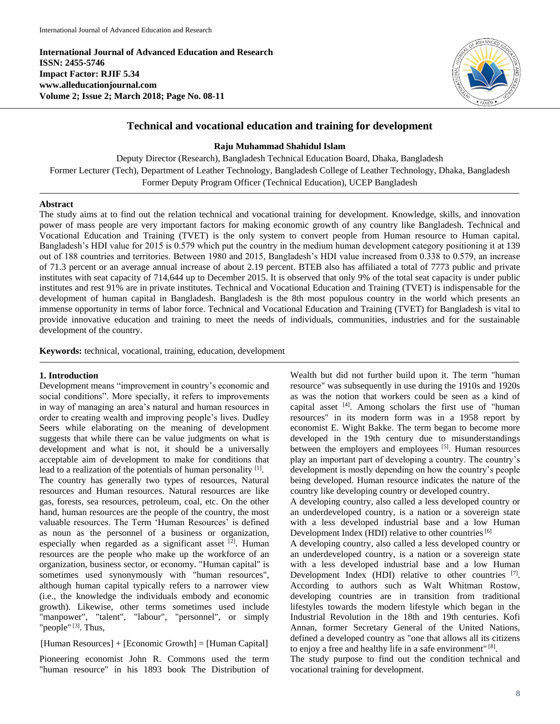**International Journal of Advanced Education and Research ISSN: 2455-5746 Impact Factor: RJIF 5.34 www.alleducationjournal.com Volume 2; Issue 2; March 2018; Page No. 08-11**



# **Technical and vocational education and training for development**

**Raju Muhammad Shahidul Islam**

Deputy Director (Research), Bangladesh Technical Education Board, Dhaka, Bangladesh Former Lecturer (Tech), Department of Leather Technology, Bangladesh College of Leather Technology, Dhaka, Bangladesh Former Deputy Program Officer (Technical Education), UCEP Bangladesh

#### **Abstract**

The study aims at to find out the relation technical and vocational training for development. Knowledge, skills, and innovation power of mass people are very important factors for making economic growth of any country like Bangladesh. Technical and Vocational Education and Training (TVET) is the only system to convert people from Human resource to Human capital. Bangladesh's HDI value for 2015 is 0.579 which put the country in the medium human development category positioning it at 139 out of 188 countries and territories. Between 1980 and 2015, Bangladesh's HDI value increased from 0.338 to 0.579, an increase of 71.3 percent or an average annual increase of about 2.19 percent. BTEB also has affiliated a total of 7773 public and private institutes with seat capacity of 714,644 up to December 2015. It is observed that only 9% of the total seat capacity is under public institutes and rest 91% are in private institutes. Technical and Vocational Education and Training (TVET) is indispensable for the development of human capital in Bangladesh. Bangladesh is the 8th most populous country in the world which presents an immense opportunity in terms of labor force. Technical and Vocational Education and Training (TVET) for Bangladesh is vital to provide innovative education and training to meet the needs of individuals, communities, industries and for the sustainable development of the country.

**Keywords:** technical, vocational, training, education, development

#### **1. Introduction**

Development means "improvement in country's economic and social conditions". More specially, it refers to improvements in way of managing an area's natural and human resources in order to creating wealth and improving people's lives. Dudley Seers while elaborating on the meaning of development suggests that while there can be value judgments on what is development and what is not, it should be a universally acceptable aim of development to make for conditions that lead to a realization of the potentials of human personality [1]. The country has generally two types of resources, Natural resources and Human resources. Natural resources are like gas, forests, sea resources, petroleum, coal, etc. On the other hand, human resources are the people of the country, the most valuable resources. The Term 'Human Resources' is defined as noun as the personnel of a business or organization, especially when regarded as a significant asset [2]. Human resources are the people who make up the workforce of an organization, business sector, or economy. "Human capital" is sometimes used synonymously with "human resources", although human capital typically refers to a narrower view (i.e., the knowledge the individuals embody and economic growth). Likewise, other terms sometimes used include "manpower", "talent", "labour", "personnel", or simply "people"<sup>[3]</sup>. Thus,

[Human Resources] + [Economic Growth] = [Human Capital]

Pioneering economist John R. Commons used the term "human resource" in his 1893 book The Distribution of

Wealth but did not further build upon it. The term "human resource" was subsequently in use during the 1910s and 1920s as was the notion that workers could be seen as a kind of capital asset [4]. Among scholars the first use of "human resources" in its modern form was in a 1958 report by economist E. Wight Bakke. The term began to become more developed in the 19th century due to misunderstandings between the employers and employees <sup>[5]</sup>. Human resources play an important part of developing a country. The country's development is mostly depending on how the country's people being developed. Human resource indicates the nature of the country like developing country or developed country.

A developing country, also called a less developed country or an underdeveloped country, is a nation or a sovereign state with a less developed industrial base and a low Human Development Index (HDI) relative to other countries<sup>[6]</sup>

A developing country, also called a less developed country or an underdeveloped country, is a nation or a sovereign state with a less developed industrial base and a low Human Development Index (HDI) relative to other countries [7]. According to authors such as Walt Whitman Rostow, developing countries are in transition from traditional lifestyles towards the modern lifestyle which began in the Industrial Revolution in the 18th and 19th centuries. Kofi Annan, former Secretary General of the United Nations, defined a developed country as "one that allows all its citizens to enjoy a free and healthy life in a safe environment"<sup>[8]</sup>.

The study purpose to find out the condition technical and vocational training for development.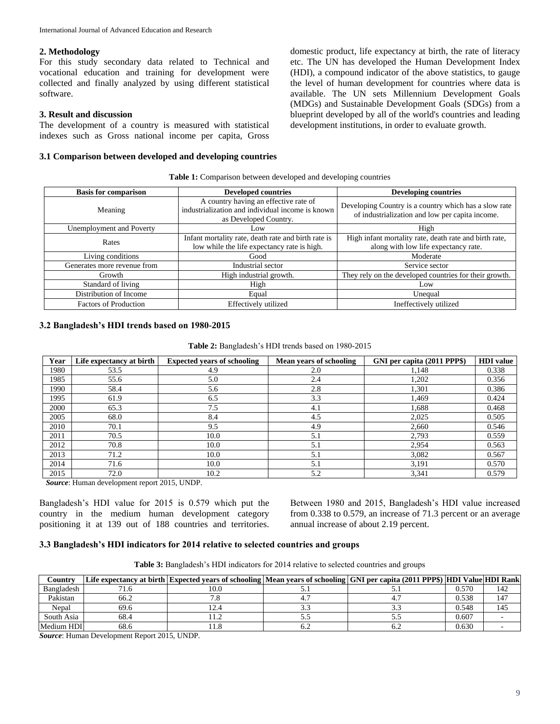## **2. Methodology**

For this study secondary data related to Technical and vocational education and training for development were collected and finally analyzed by using different statistical software.

# **3. Result and discussion**

The development of a country is measured with statistical indexes such as Gross national income per capita, Gross

## **3.1 Comparison between developed and developing countries**

domestic product, life expectancy at birth, the rate of literacy etc. The UN has developed the Human Development Index (HDI), a compound indicator of the above statistics, to gauge the level of human development for countries where data is available. The UN sets Millennium Development Goals (MDGs) and Sustainable Development Goals (SDGs) from a blueprint developed by all of the world's countries and leading development institutions, in order to evaluate growth.

|  |  |  |  |  | Table 1: Comparison between developed and developing countries |  |  |  |
|--|--|--|--|--|----------------------------------------------------------------|--|--|--|
|--|--|--|--|--|----------------------------------------------------------------|--|--|--|

| <b>Basis for comparison</b>  | <b>Developed countries</b>                                                                                         | <b>Developing countries</b>                                                                              |  |
|------------------------------|--------------------------------------------------------------------------------------------------------------------|----------------------------------------------------------------------------------------------------------|--|
| Meaning                      | A country having an effective rate of<br>industrialization and individual income is known<br>as Developed Country. | Developing Country is a country which has a slow rate<br>of industrialization and low per capita income. |  |
| Unemployment and Poverty     | Low.                                                                                                               | High                                                                                                     |  |
| Rates                        | Infant mortality rate, death rate and birth rate is<br>low while the life expectancy rate is high.                 | High infant mortality rate, death rate and birth rate,<br>along with low life expectancy rate.           |  |
| Living conditions            | Good                                                                                                               | Moderate                                                                                                 |  |
| Generates more revenue from  | Industrial sector                                                                                                  | Service sector                                                                                           |  |
| Growth                       | High industrial growth.                                                                                            | They rely on the developed countries for their growth.                                                   |  |
| Standard of living           | High                                                                                                               | Low                                                                                                      |  |
| Distribution of Income       | Equal                                                                                                              | Unequal                                                                                                  |  |
| <b>Factors of Production</b> | Effectively utilized                                                                                               | Ineffectively utilized                                                                                   |  |

#### **3.2 Bangladesh's HDI trends based on 1980-2015**

**Table 2:** Bangladesh's HDI trends based on 1980-2015

| Year | Life expectancy at birth | <b>Expected years of schooling</b> | Mean years of schooling | GNI per capita (2011 PPP\$) | <b>HDI</b> value |
|------|--------------------------|------------------------------------|-------------------------|-----------------------------|------------------|
| 1980 | 53.5                     | 4.9                                | 2.0                     | 1.148                       | 0.338            |
| 1985 | 55.6                     | 5.0                                | 2.4                     | 1,202                       | 0.356            |
| 1990 | 58.4                     | 5.6                                | 2.8                     | 1,301                       | 0.386            |
| 1995 | 61.9                     | 6.5                                | 3.3                     | 1,469                       | 0.424            |
| 2000 | 65.3                     | 7.5                                | 4.1                     | 1,688                       | 0.468            |
| 2005 | 68.0                     | 8.4                                | 4.5                     | 2,025                       | 0.505            |
| 2010 | 70.1                     | 9.5                                | 4.9                     | 2,660                       | 0.546            |
| 2011 | 70.5                     | 10.0                               | 5.1                     | 2,793                       | 0.559            |
| 2012 | 70.8                     | 10.0                               | 5.1                     | 2,954                       | 0.563            |
| 2013 | 71.2                     | 10.0                               | 5.1                     | 3,082                       | 0.567            |
| 2014 | 71.6                     | 10.0                               | 5.1                     | 3,191                       | 0.570            |
| 2015 | 72.0                     | 10.2                               | 5.2                     | 3,341                       | 0.579            |

*Source*: Human development report 2015, UNDP.

Bangladesh's HDI value for 2015 is 0.579 which put the country in the medium human development category positioning it at 139 out of 188 countries and territories. Between 1980 and 2015, Bangladesh's HDI value increased from 0.338 to 0.579, an increase of 71.3 percent or an average annual increase of about 2.19 percent.

#### **3.3 Bangladesh's HDI indicators for 2014 relative to selected countries and groups**

| Table 3: Bangladesh's HDI indicators for 2014 relative to selected countries and groups |  |
|-----------------------------------------------------------------------------------------|--|
|-----------------------------------------------------------------------------------------|--|

| Country    |      |      | Life expectancy at birth Expected years of schooling   Mean years of schooling   GNI per capita (2011 PPP\$)  HDI Value  HDI Rank |       |     |
|------------|------|------|-----------------------------------------------------------------------------------------------------------------------------------|-------|-----|
| Bangladesh |      | 10.C |                                                                                                                                   | 0.570 | 142 |
| Pakistan   | 66.2 |      |                                                                                                                                   | 0.538 | 147 |
| Nepal      | 69.6 |      |                                                                                                                                   | 0.548 | 145 |
| South Asia | 68.4 |      |                                                                                                                                   | 0.607 |     |
| Medium HDI | 68.6 |      |                                                                                                                                   | 0.630 |     |

*Source*: Human Development Report 2015, UNDP.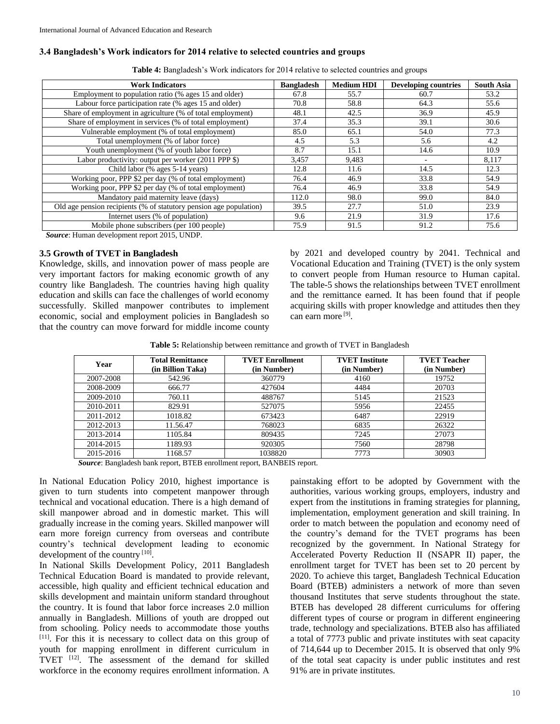#### **3.4 Bangladesh's Work indicators for 2014 relative to selected countries and groups**

| <b>Work Indicators</b>                                             | <b>Bangladesh</b> | <b>Medium HDI</b> | <b>Developing countries</b> | <b>South Asia</b> |
|--------------------------------------------------------------------|-------------------|-------------------|-----------------------------|-------------------|
| Employment to population ratio (% ages 15 and older)               | 67.8              | 55.7              | 60.7                        | 53.2              |
| Labour force participation rate (% ages 15 and older)              | 70.8              | 58.8              | 64.3                        | 55.6              |
| Share of employment in agriculture (% of total employment)         | 48.1              | 42.5              | 36.9                        | 45.9              |
| Share of employment in services (% of total employment)            | 37.4              | 35.3              | 39.1                        | 30.6              |
| Vulnerable employment (% of total employment)                      | 85.0              | 65.1              | 54.0                        | 77.3              |
| Total unemployment (% of labor force)                              | 4.5               | 5.3               | 5.6                         | 4.2               |
| Youth unemployment (% of youth labor force)                        | 8.7               | 15.1              | 14.6                        | 10.9              |
| Labor productivity: output per worker (2011 PPP \$)                | 3,457             | 9.483             | $\overline{\phantom{a}}$    | 8,117             |
| Child labor (% ages 5-14 years)                                    | 12.8              | 11.6              | 14.5                        | 12.3              |
| Working poor, PPP \$2 per day (% of total employment)              | 76.4              | 46.9              | 33.8                        | 54.9              |
| Working poor, PPP \$2 per day (% of total employment)              | 76.4              | 46.9              | 33.8                        | 54.9              |
| Mandatory paid maternity leave (days)                              | 112.0             | 98.0              | 99.0                        | 84.0              |
| Old age pension recipients (% of statutory pension age population) | 39.5              | 27.7              | 51.0                        | 23.9              |
| Internet users (% of population)                                   | 9.6               | 21.9              | 31.9                        | 17.6              |
| Mobile phone subscribers (per 100 people)                          | 75.9              | 91.5              | 91.2                        | 75.6              |

**Table 4:** Bangladesh's Work indicators for 2014 relative to selected countries and groups

*Source*: Human development report 2015, UNDP.

#### **3.5 Growth of TVET in Bangladesh**

Knowledge, skills, and innovation power of mass people are very important factors for making economic growth of any country like Bangladesh. The countries having high quality education and skills can face the challenges of world economy successfully. Skilled manpower contributes to implement economic, social and employment policies in Bangladesh so that the country can move forward for middle income county

by 2021 and developed country by 2041. Technical and Vocational Education and Training (TVET) is the only system to convert people from Human resource to Human capital. The table-5 shows the relationships between TVET enrollment and the remittance earned. It has been found that if people acquiring skills with proper knowledge and attitudes then they can earn more [9] .

**Table 5:** Relationship between remittance and growth of TVET in Bangladesh

| Year      | <b>Total Remittance</b><br>(in Billion Taka) | <b>TVET Enrollment</b><br>(in Number) | <b>TVET</b> Institute<br>(in Number) | <b>TVET Teacher</b><br>(in Number) |
|-----------|----------------------------------------------|---------------------------------------|--------------------------------------|------------------------------------|
| 2007-2008 | 542.96                                       | 360779                                | 4160                                 | 19752                              |
| 2008-2009 | 666.77                                       | 427604                                | 4484                                 | 20703                              |
| 2009-2010 | 760.11                                       | 488767                                | 5145                                 | 21523                              |
| 2010-2011 | 829.91                                       | 527075                                | 5956                                 | 22455                              |
| 2011-2012 | 1018.82                                      | 673423                                | 6487                                 | 22919                              |
| 2012-2013 | 11.56.47                                     | 768023                                | 6835                                 | 26322                              |
| 2013-2014 | 1105.84                                      | 809435                                | 7245                                 | 27073                              |
| 2014-2015 | 1189.93                                      | 920305                                | 7560                                 | 28798                              |
| 2015-2016 | 1168.57                                      | 1038820                               | 7773                                 | 30903                              |

*Source*: Bangladesh bank report, BTEB enrollment report, BANBEIS report.

In National Education Policy 2010, highest importance is given to turn students into competent manpower through technical and vocational education. There is a high demand of skill manpower abroad and in domestic market. This will gradually increase in the coming years. Skilled manpower will earn more foreign currency from overseas and contribute country's technical development leading to economic development of the country [10].

In National Skills Development Policy, 2011 Bangladesh Technical Education Board is mandated to provide relevant, accessible, high quality and efficient technical education and skills development and maintain uniform standard throughout the country. It is found that labor force increases 2.0 million annually in Bangladesh. Millions of youth are dropped out from schooling. Policy needs to accommodate those youths [11]. For this it is necessary to collect data on this group of youth for mapping enrollment in different curriculum in TVET <sup>[12]</sup>. The assessment of the demand for skilled workforce in the economy requires enrollment information. A

painstaking effort to be adopted by Government with the authorities, various working groups, employers, industry and expert from the institutions in framing strategies for planning, implementation, employment generation and skill training. In order to match between the population and economy need of the country's demand for the TVET programs has been recognized by the government. In National Strategy for Accelerated Poverty Reduction II (NSAPR II) paper, the enrollment target for TVET has been set to 20 percent by 2020. To achieve this target, Bangladesh Technical Education Board (BTEB) administers a network of more than seven thousand Institutes that serve students throughout the state. BTEB has developed 28 different curriculums for offering different types of course or program in different engineering trade, technology and specializations. BTEB also has affiliated a total of 7773 public and private institutes with seat capacity of 714,644 up to December 2015. It is observed that only 9% of the total seat capacity is under public institutes and rest 91% are in private institutes.